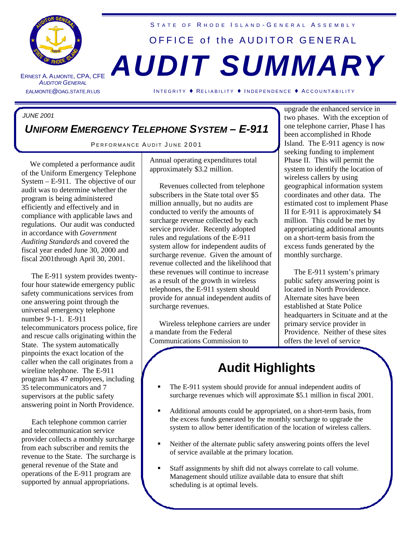

ERNEST A. A LMONTE **AUDITOR GENERAL** 

### STATE OF RHODE ISLAND-GENERAL ASSEMBLY

# OFFICE of the AUDITOR GENERAL , CPA, CFE *AUDIT SUMMARY*

EALMONTE@OAG.STATE.RI.US I NTEGRITY ♦ RELIABILITY ♦ I NDEPENDENCE ♦ A CCOUNTABILITY

## *JUNE 2001*

## *UNIFORM EMERGENCY TELEPHONE SYSTEM – E-911*

PERFORMANCE AUDIT JUNE 2001

 We completed a performance audit of the Uniform Emergency Telephone System – E-911. The objective of our audit was to determine whether the program is being administered efficiently and effectively and in compliance with applicable laws and regulations. Our audit was conducted in accordance with *Government Auditing Standards* and covered the fiscal year ended June 30, 2000 and fiscal 2001through April 30, 2001.

 The E-911 system provides twentyfour hour statewide emergency public safety communications services from one answering point through the universal emergency telephone number 9-1-1. E-911 telecommunicators process police, fire and rescue calls originating within the State. The system automatically pinpoints the exact location of the caller when the call originates from a wireline telephone. The E-911 program has 47 employees, including 35 telecommunicators and 7 supervisors at the public safety answering point in North Providence.

 Each telephone common carrier and telecommunication service provider collects a monthly surcharge from each subscriber and remits the revenue to the State. The surcharge is general revenue of the State and operations of the E-911 program are supported by annual appropriations.

Annual operating expenditures total approximately \$3.2 million.

 Revenues collected from telephone subscribers in the State total over \$5 million annually, but no audits are conducted to verify the amounts of surcharge revenue collected by each service provider. Recently adopted rules and regulations of the E-911 system allow for independent audits of surcharge revenue. Given the amount of revenue collected and the likelihood that these revenues will continue to increase as a result of the growth in wireless telephones, the E-911 system should provide for annual independent audits of surcharge revenues.

 Wireless telephone carriers are under a mandate from the Federal Communications Commission to

upgrade the enhanced service in two phases. With the exception of one telephone carrier, Phase I has been accomplished in Rhode Island. The E-911 agency is now seeking funding to implement Phase II. This will permit the system to identify the location of wireless callers by using geographical information system coordinates and other data. The estimated cost to implement Phase II for E-911 is approximately \$4 million. This could be met by appropriating additional amounts on a short-term basis from the excess funds generated by the monthly surcharge.

 The E-911 system's primary public safety answering point is located in North Providence. Alternate sites have been established at State Police headquarters in Scituate and at the primary service provider in Providence. Neither of these sites offers the level of service

## **Audit Highlights**

- The E-911 system should provide for annual independent audits of surcharge revenues which will approximate \$5.1 million in fiscal 2001.
- ß Additional amounts could be appropriated, on a short-term basis, from the excess funds generated by the monthly surcharge to upgrade the system to allow better identification of the location of wireless callers.
- Reither of the alternate public safety answering points offers the level of service available at the primary location.
- ß Staff assignments by shift did not always correlate to call volume. Management should utilize available data to ensure that shift scheduling is at optimal levels.